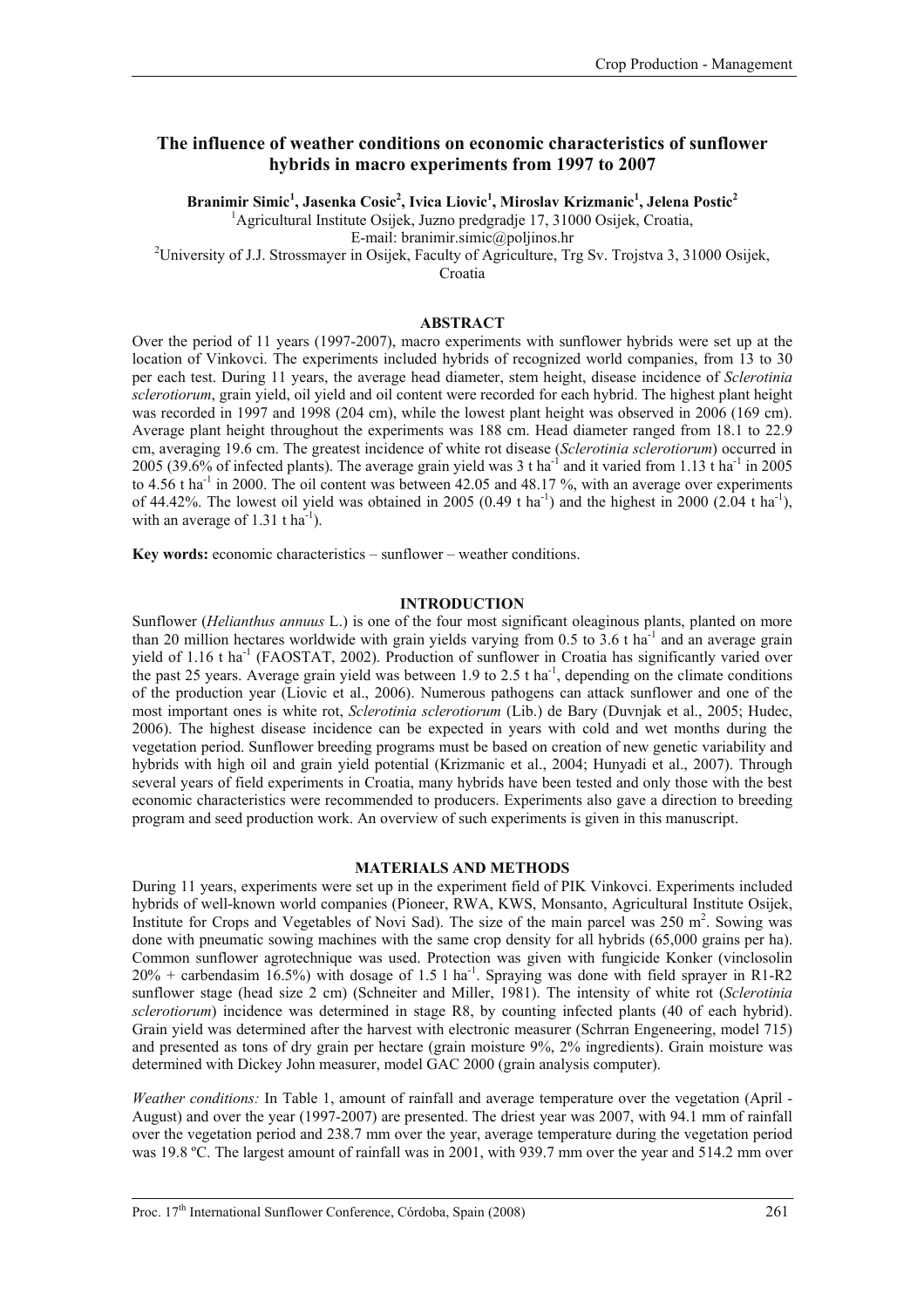# **The influence of weather conditions on economic characteristics of sunflower hybrids in macro experiments from 1997 to 2007**

**Branimir Simic1 , Jasenka Cosic2 , Ivica Liovic1 , Miroslav Krizmanic1 , Jelena Postic<sup>2</sup>** 1 Agricultural Institute Osijek, Juzno predgradje 17, 31000 Osijek, Croatia,

E-mail: [branimir.simic@poljinos.hr](mailto:branimir.simic@poljinos.hr)<br><sup>2</sup> University of J.J. Strossmayer in Osijek, Faculty of Agriculture, Trg Sv. Trojstva 3, 31000 Osijek,

Croatia

## **ABSTRACT**

Over the period of 11 years (1997-2007), macro experiments with sunflower hybrids were set up at the location of Vinkovci. The experiments included hybrids of recognized world companies, from 13 to 30 per each test. During 11 years, the average head diameter, stem height, disease incidence of *Sclerotinia sclerotiorum*, grain yield, oil yield and oil content were recorded for each hybrid. The highest plant height was recorded in 1997 and 1998 (204 cm), while the lowest plant height was observed in 2006 (169 cm). Average plant height throughout the experiments was 188 cm. Head diameter ranged from 18.1 to 22.9 cm, averaging 19.6 cm. The greatest incidence of white rot disease (*Sclerotinia sclerotiorum*) occurred in 2005 (39.6% of infected plants). The average grain yield was  $3 \text{ t}$  ha<sup>-1</sup> and it varied from 1.13 t ha<sup>-1</sup> in 2005 to  $4.56$  t ha<sup>-1</sup> in 2000. The oil content was between  $42.05$  and  $48.17$ %, with an average over experiments of 44.42%. The lowest oil yield was obtained in 2005 (0.49 t ha<sup>-1</sup>) and the highest in 2000 (2.04 t ha<sup>-1</sup>), with an average of  $1.31$  t ha<sup>-1</sup>).

**Key words:** economic characteristics – sunflower – weather conditions.

## **INTRODUCTION**

Sunflower (*Helianthus annuus* L.) is one of the four most significant oleaginous plants, planted on more than 20 million hectares worldwide with grain yields varying from 0.5 to 3.6 t ha<sup>-1</sup> and an average grain yield of 1.16 t ha<sup>-1</sup> (FAOSTAT, 2002). Production of sunflower in Croatia has significantly varied over the past 25 years. Average grain yield was between 1.9 to 2.5 t ha<sup>-1</sup>, depending on the climate conditions of the production year (Liovic et al., 2006). Numerous pathogens can attack sunflower and one of the most important ones is white rot, *Sclerotinia sclerotiorum* (Lib.) de Bary (Duvnjak et al., 2005; Hudec, 2006). The highest disease incidence can be expected in years with cold and wet months during the vegetation period. Sunflower breeding programs must be based on creation of new genetic variability and hybrids with high oil and grain yield potential (Krizmanic et al., 2004; Hunyadi et al., 2007). Through several years of field experiments in Croatia, many hybrids have been tested and only those with the best economic characteristics were recommended to producers. Experiments also gave a direction to breeding program and seed production work. An overview of such experiments is given in this manuscript.

## **MATERIALS AND METHODS**

During 11 years, experiments were set up in the experiment field of PIK Vinkovci. Experiments included hybrids of well-known world companies (Pioneer, RWA, KWS, Monsanto, Agricultural Institute Osijek, Institute for Crops and Vegetables of Novi Sad). The size of the main parcel was 250 m<sup>2</sup>. Sowing was done with pneumatic sowing machines with the same crop density for all hybrids (65,000 grains per ha). Common sunflower agrotechnique was used. Protection was given with fungicide Konker (vinclosolin  $20\%$  + carbendasim 16.5%) with dosage of 1.5 l ha<sup>-1</sup>. Spraying was done with field sprayer in R1-R2 sunflower stage (head size 2 cm) (Schneiter and Miller, 1981). The intensity of white rot (*Sclerotinia sclerotiorum*) incidence was determined in stage R8, by counting infected plants (40 of each hybrid). Grain yield was determined after the harvest with electronic measurer (Schrran Engeneering, model 715) and presented as tons of dry grain per hectare (grain moisture 9%, 2% ingredients). Grain moisture was determined with Dickey John measurer, model GAC 2000 (grain analysis computer).

*Weather conditions:* In Table 1, amount of rainfall and average temperature over the vegetation (April - August) and over the year (1997-2007) are presented. The driest year was 2007, with 94.1 mm of rainfall over the vegetation period and 238.7 mm over the year, average temperature during the vegetation period was 19.8 ºC. The largest amount of rainfall was in 2001, with 939.7 mm over the year and 514.2 mm over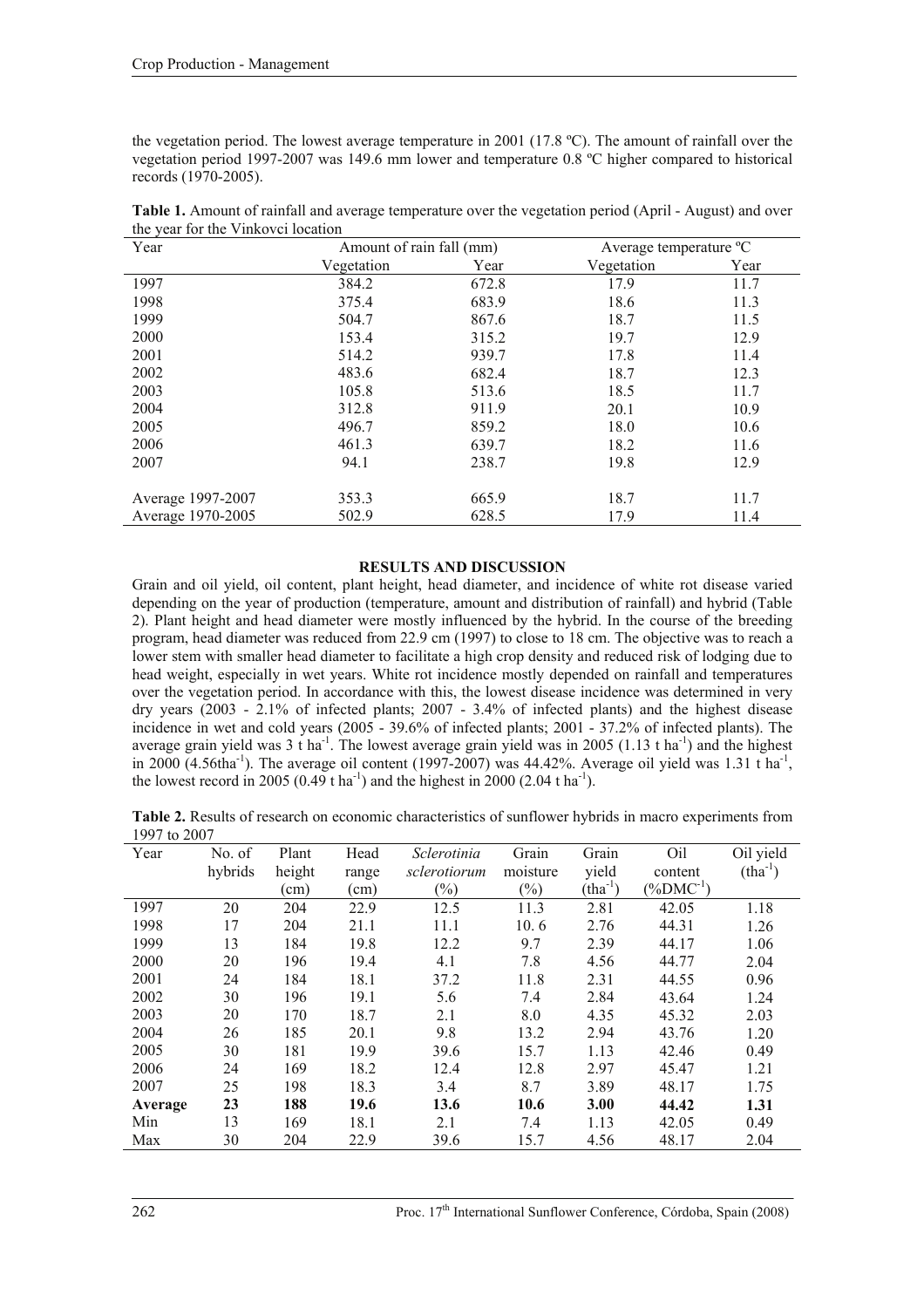the vegetation period. The lowest average temperature in 2001 (17.8 ºC). The amount of rainfall over the vegetation period 1997-2007 was 149.6 mm lower and temperature 0.8 ºC higher compared to historical records (1970-2005).

| Year              | Amount of rain fall (mm) |       | Average temperature °C |      |  |
|-------------------|--------------------------|-------|------------------------|------|--|
|                   | Vegetation               | Year  | Vegetation             | Year |  |
| 1997              | 384.2                    | 672.8 | 17.9                   | 11.7 |  |
| 1998              | 375.4                    | 683.9 | 18.6                   | 11.3 |  |
| 1999              | 504.7                    | 867.6 | 18.7                   | 11.5 |  |
| 2000              | 153.4                    | 315.2 | 19.7                   | 12.9 |  |
| 2001              | 514.2                    | 939.7 | 17.8                   | 11.4 |  |
| 2002              | 483.6                    | 682.4 | 18.7                   | 12.3 |  |
| 2003              | 105.8                    | 513.6 | 18.5                   | 11.7 |  |
| 2004              | 312.8                    | 911.9 | 20.1                   | 10.9 |  |
| 2005              | 496.7                    | 859.2 | 18.0                   | 10.6 |  |
| 2006              | 461.3                    | 639.7 | 18.2                   | 11.6 |  |
| 2007              | 94.1                     | 238.7 | 19.8                   | 12.9 |  |
|                   |                          |       |                        |      |  |
| Average 1997-2007 | 353.3                    | 665.9 | 18.7                   | 11.7 |  |
| Average 1970-2005 | 502.9                    | 628.5 | 17.9                   | 11.4 |  |

**Table 1.** Amount of rainfall and average temperature over the vegetation period (April - August) and over the year for the Vinkovci location

## **RESULTS AND DISCUSSION**

Grain and oil yield, oil content, plant height, head diameter, and incidence of white rot disease varied depending on the year of production (temperature, amount and distribution of rainfall) and hybrid (Table 2). Plant height and head diameter were mostly influenced by the hybrid. In the course of the breeding program, head diameter was reduced from 22.9 cm (1997) to close to 18 cm. The objective was to reach a lower stem with smaller head diameter to facilitate a high crop density and reduced risk of lodging due to head weight, especially in wet years. White rot incidence mostly depended on rainfall and temperatures over the vegetation period. In accordance with this, the lowest disease incidence was determined in very dry years  $(2003 - 2.1\%$  of infected plants;  $2007 - 3.4\%$  of infected plants) and the highest disease incidence in wet and cold years (2005 - 39.6% of infected plants; 2001 - 37.2% of infected plants). The average grain yield was  $3 \text{ t}$  ha<sup>-1</sup>. The lowest average grain yield was in 2005 (1.13 t ha<sup>-1</sup>) and the highest in 2000  $(4.56\text{tha}^{-1})$ . The average oil content (1997-2007) was 44.42%. Average oil yield was 1.31 t ha<sup>-1</sup>, the lowest record in 2005 (0.49 t ha<sup>-1</sup>) and the highest in 2000 (2.04 t ha<sup>-1</sup>).

| Table 2. Results of research on economic characteristics of sunflower hybrids in macro experiments from |  |
|---------------------------------------------------------------------------------------------------------|--|
| 1997 to 2007                                                                                            |  |

| Year    | No. of  | Plant  | Head  | Sclerotinia  | Grain    | Grain     | Oil            | Oil yield |
|---------|---------|--------|-------|--------------|----------|-----------|----------------|-----------|
|         | hybrids | height | range | sclerotiorum | moisture | yield     | content        | $(tha-1)$ |
|         |         | (cm)   | (cm)  | $(\%)$       | $(\%)$   | $(tha-1)$ | $(\%DMC^{-1})$ |           |
| 1997    | 20      | 204    | 22.9  | 12.5         | 11.3     | 2.81      | 42.05          | 1.18      |
| 1998    | 17      | 204    | 21.1  | 11.1         | 10.6     | 2.76      | 44.31          | 1.26      |
| 1999    | 13      | 184    | 19.8  | 12.2         | 9.7      | 2.39      | 44.17          | 1.06      |
| 2000    | 20      | 196    | 19.4  | 4.1          | 7.8      | 4.56      | 44.77          | 2.04      |
| 2001    | 24      | 184    | 18.1  | 37.2         | 11.8     | 2.31      | 44.55          | 0.96      |
| 2002    | 30      | 196    | 19.1  | 5.6          | 7.4      | 2.84      | 43.64          | 1.24      |
| 2003    | 20      | 170    | 18.7  | 2.1          | 8.0      | 4.35      | 45.32          | 2.03      |
| 2004    | 26      | 185    | 20.1  | 9.8          | 13.2     | 2.94      | 43.76          | 1.20      |
| 2005    | 30      | 181    | 19.9  | 39.6         | 15.7     | 1.13      | 42.46          | 0.49      |
| 2006    | 24      | 169    | 18.2  | 12.4         | 12.8     | 2.97      | 45.47          | 1.21      |
| 2007    | 25      | 198    | 18.3  | 3.4          | 8.7      | 3.89      | 48.17          | 1.75      |
| Average | 23      | 188    | 19.6  | 13.6         | 10.6     | 3.00      | 44.42          | 1.31      |
| Min     | 13      | 169    | 18.1  | 2.1          | 7.4      | 1.13      | 42.05          | 0.49      |
| Max     | 30      | 204    | 22.9  | 39.6         | 15.7     | 4.56      | 48.17          | 2.04      |